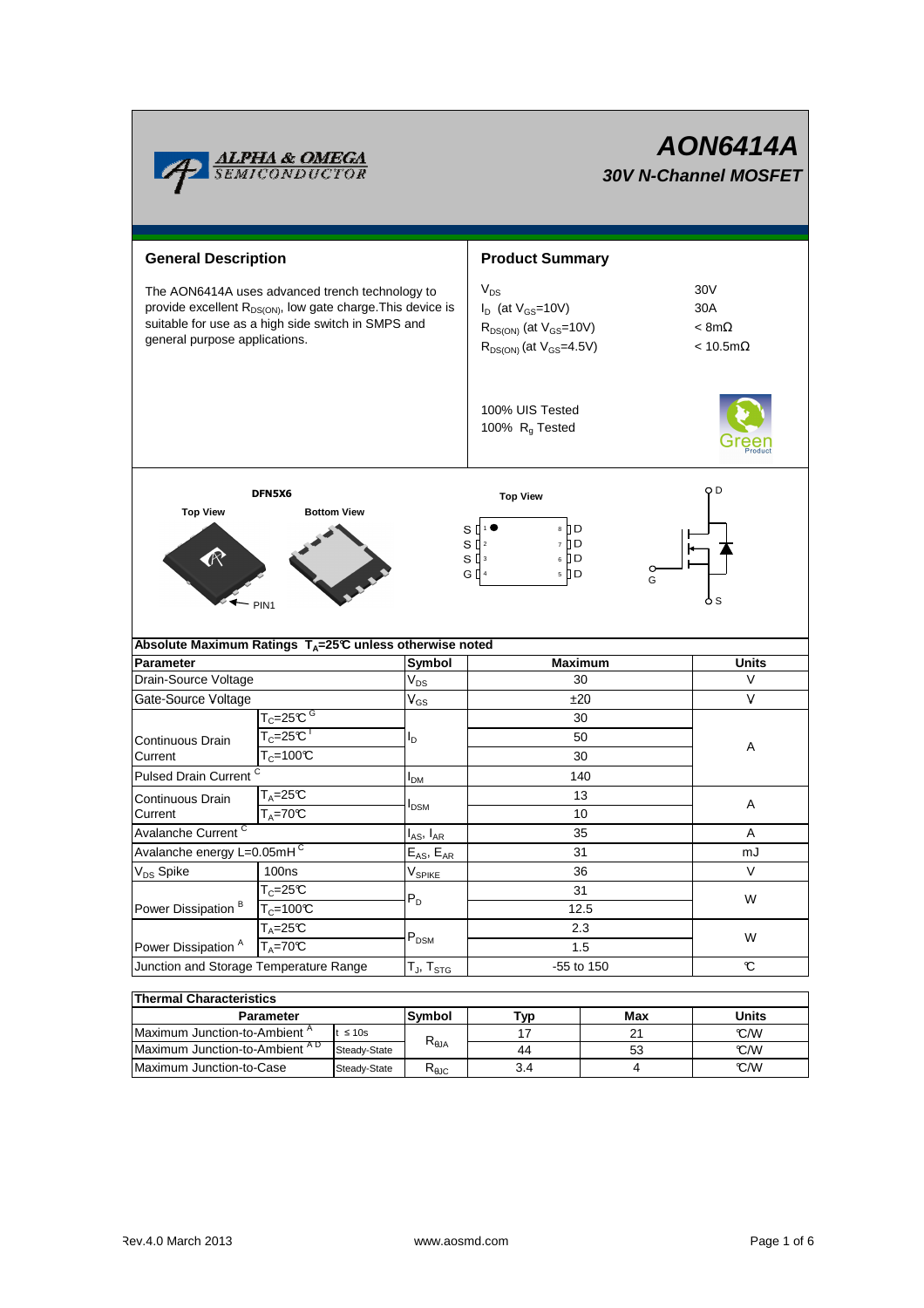

# **AON6414A 30V N-Channel MOSFET**

| <b>General Description</b>                                                                                                                                                                                        |                                               |                            | <b>Product Summary</b>                                                                                        |                                                   |              |  |  |
|-------------------------------------------------------------------------------------------------------------------------------------------------------------------------------------------------------------------|-----------------------------------------------|----------------------------|---------------------------------------------------------------------------------------------------------------|---------------------------------------------------|--------------|--|--|
| The AON6414A uses advanced trench technology to<br>provide excellent R <sub>DS(ON)</sub> , low gate charge. This device is<br>suitable for use as a high side switch in SMPS and<br>general purpose applications. |                                               |                            | $V_{DS}$<br>$I_D$ (at $V_{GS}$ =10V)<br>$R_{DS(ON)}$ (at $V_{GS}=10V$ )<br>$R_{DS(ON)}$ (at $V_{GS} = 4.5V$ ) | 30V<br>30A<br>$< 8m\Omega$<br>$< 10.5$ m $\Omega$ |              |  |  |
|                                                                                                                                                                                                                   |                                               |                            | 100% UIS Tested<br>100% R <sub>g</sub> Tested                                                                 |                                                   |              |  |  |
|                                                                                                                                                                                                                   | DFN5X6                                        |                            | <b>Top View</b>                                                                                               | QD                                                |              |  |  |
| <b>Top View</b><br><b>Bottom View</b><br>8    D<br>s I<br>7 D D<br>S<br>$\prod$ 2<br>6 <b>D</b><br>sП<br>0<br>5 D<br>G II 4<br>G<br>o s<br>PIN <sub>1</sub>                                                       |                                               |                            |                                                                                                               |                                                   |              |  |  |
| Absolute Maximum Ratings T <sub>A</sub> =25℃ unless otherwise noted                                                                                                                                               |                                               |                            |                                                                                                               |                                                   |              |  |  |
| <b>Parameter</b>                                                                                                                                                                                                  |                                               | Symbol                     | <b>Maximum</b>                                                                                                |                                                   | <b>Units</b> |  |  |
| Drain-Source Voltage                                                                                                                                                                                              |                                               | $\rm V_{DS}$               | 30                                                                                                            |                                                   | V            |  |  |
| Gate-Source Voltage                                                                                                                                                                                               |                                               | $\mathsf{V}_{\mathsf{GS}}$ | ±20                                                                                                           |                                                   | V            |  |  |
|                                                                                                                                                                                                                   | $\mathsf{T}_{\mathbb{C}}$ =25°C $^\mathsf{G}$ |                            | 30                                                                                                            |                                                   |              |  |  |
| Continuous Drain                                                                                                                                                                                                  | $\mathsf{T}_{\mathbb C}$ =25 $\mathbb C^\top$ | ΙD                         | 50                                                                                                            |                                                   |              |  |  |
| Current                                                                                                                                                                                                           | $T_c = 100 \overline{C}$                      |                            | 30                                                                                                            |                                                   | Α            |  |  |
| Pulsed Drain Current <sup>C</sup>                                                                                                                                                                                 |                                               | <b>I</b> <sub>DM</sub>     | 140                                                                                                           |                                                   |              |  |  |
| Continuous Drain                                                                                                                                                                                                  | $T_A = 25C$                                   |                            | 13                                                                                                            |                                                   |              |  |  |
| Current                                                                                                                                                                                                           | $T_A = 70C$                                   | I <sub>DSM</sub>           | 10                                                                                                            |                                                   | Α            |  |  |
| Avalanche Current <sup>C</sup>                                                                                                                                                                                    |                                               | $I_{AS}$ , $I_{AR}$        | 35                                                                                                            |                                                   | Α            |  |  |
| Avalanche energy L=0.05mHC                                                                                                                                                                                        |                                               | $E_{AS}$ , $E_{AR}$        | 31                                                                                                            |                                                   | mJ           |  |  |
| V <sub>DS</sub> Spike                                                                                                                                                                                             | 100ns                                         | V <sub>SPIKE</sub>         | 36                                                                                                            |                                                   | V            |  |  |
| Power Dissipation <sup>B</sup>                                                                                                                                                                                    | $T_c = 25C$                                   |                            | 31                                                                                                            |                                                   |              |  |  |
|                                                                                                                                                                                                                   | $T_c = 100C$                                  | $P_D$                      | 12.5                                                                                                          |                                                   | W            |  |  |
|                                                                                                                                                                                                                   | $\bar{T}_A = 25C$                             |                            | 2.3                                                                                                           |                                                   |              |  |  |
| Power Dissipation <sup>A</sup>                                                                                                                                                                                    | $T_A = 70^\circ C$                            | $\mathsf{P}_\mathsf{DSM}$  | 1.5                                                                                                           |                                                   | W            |  |  |
| Junction and Storage Temperature Range                                                                                                                                                                            |                                               | $T_J$ , $T_{STG}$          | -55 to 150                                                                                                    |                                                   | C            |  |  |
|                                                                                                                                                                                                                   |                                               |                            |                                                                                                               |                                                   |              |  |  |
| <b>Thermal Characteristics</b>                                                                                                                                                                                    |                                               |                            |                                                                                                               |                                                   |              |  |  |
| Parameter                                                                                                                                                                                                         |                                               | Symbol                     | Typ                                                                                                           | Max                                               | <b>Units</b> |  |  |
| Maximum Junction-to-Ambient <sup>A</sup><br>$≤ 10s$<br>$M$ ovinauma lupatic                                                                                                                                       |                                               | $R_{\theta$ JA             | 17                                                                                                            | 21                                                | °C/W         |  |  |

Maximum Junction-to-Case Steady-State R<sub>6JC</sub> 3.4 4 C/W Maximum Junction-to-Ambient °C/W A D

3.4

44

53 4

Steady-State

Steady-State  $R_{\theta JC}$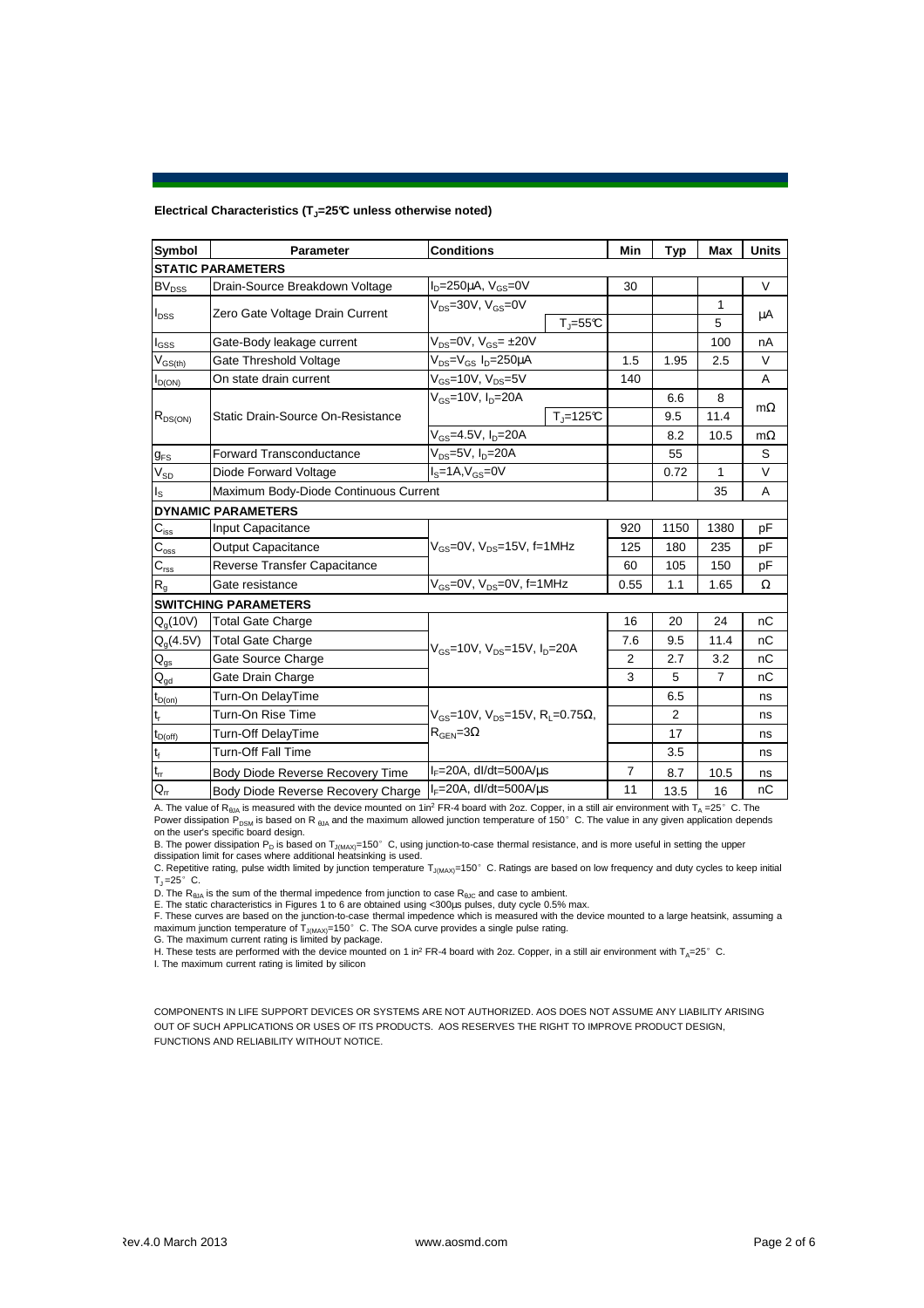#### **Electrical Characteristics (TJ=25°C unless otherwise noted)**

| Symbol                     | <b>Parameter</b>                                                                                        | <b>Conditions</b>                                                    | Min          | Typ         | Max            | <b>Units</b> |  |  |  |  |
|----------------------------|---------------------------------------------------------------------------------------------------------|----------------------------------------------------------------------|--------------|-------------|----------------|--------------|--|--|--|--|
| <b>STATIC PARAMETERS</b>   |                                                                                                         |                                                                      |              |             |                |              |  |  |  |  |
| <b>BV<sub>DSS</sub></b>    | Drain-Source Breakdown Voltage                                                                          | $ID=250\mu A$ , $VGS=0V$                                             | 30           |             |                | V            |  |  |  |  |
| $I_{\text{DSS}}$           | Zero Gate Voltage Drain Current                                                                         | $V_{DS} = 30V$ , $V_{GS} = 0V$                                       |              |             | 1              | μA           |  |  |  |  |
|                            |                                                                                                         | $T_{\parallel} = 55$ °C                                              |              |             | 5              |              |  |  |  |  |
| l <sub>GSS</sub>           | Gate-Body leakage current                                                                               | $V_{DS} = 0V$ , $V_{GS} = \pm 20V$                                   |              |             | 100            | nA           |  |  |  |  |
| $V_{GS(th)}$               | Gate Threshold Voltage                                                                                  | $V_{DS} = V_{GS} I_D = 250 \mu A$                                    | 1.5          | 1.95        | 2.5            | V            |  |  |  |  |
| $I_{D(ON)}$                | On state drain current                                                                                  | $V_{\text{GS}}$ =10V, $V_{\text{DS}}$ =5V                            | 140          |             |                | A            |  |  |  |  |
| $R_{DS(ON)}$               |                                                                                                         | $V_{gs}$ =10V, $I_{p}$ =20A                                          |              | 6.6         | 8              |              |  |  |  |  |
|                            | Static Drain-Source On-Resistance                                                                       |                                                                      | $T_i = 125C$ | 9.5         | 11.4           | $m\Omega$    |  |  |  |  |
|                            |                                                                                                         | $V_{GS} = 4.5V, I_D = 20A$                                           |              | 8.2         | 10.5           | $m\Omega$    |  |  |  |  |
| $g_{FS}$                   | <b>Forward Transconductance</b>                                                                         | $V_{DS}=5V$ , $I_D=20A$                                              |              | 55          |                | S            |  |  |  |  |
| $\mathsf{V}_{\texttt{SD}}$ | Diode Forward Voltage                                                                                   | $I_s = 1A$ , $V_{gs} = 0V$                                           |              | 0.72        | 1              | V            |  |  |  |  |
| $I_{\rm S}$                | Maximum Body-Diode Continuous Current                                                                   |                                                                      |              | 35          | A              |              |  |  |  |  |
|                            | <b>DYNAMIC PARAMETERS</b>                                                                               |                                                                      |              |             |                |              |  |  |  |  |
| $C_{\text{iss}}$           | Input Capacitance<br>$V_{\text{GS}} = 0V$ , $V_{\text{DS}} = 15V$ , f=1MHz<br><b>Output Capacitance</b> |                                                                      | 920          | 1150        | 1380           | рF           |  |  |  |  |
| $C_{\rm{oss}}$             |                                                                                                         |                                                                      | 125          | 180         | 235            | рF           |  |  |  |  |
| $C_{\text{rss}}$           | Reverse Transfer Capacitance                                                                            |                                                                      |              | 105         | 150            | pF           |  |  |  |  |
| $R_{q}$                    | Gate resistance                                                                                         | $V_{\text{GS}} = 0V$ , $V_{\text{DS}} = 0V$ , f=1MHz                 |              | 0.55<br>1.1 | 1.65           | Ω            |  |  |  |  |
|                            | <b>SWITCHING PARAMETERS</b>                                                                             |                                                                      |              |             |                |              |  |  |  |  |
| $Q_q(10V)$                 | <b>Total Gate Charge</b>                                                                                |                                                                      | 16           | 20          | 24             | nC           |  |  |  |  |
| $Q_q(4.5V)$                | <b>Total Gate Charge</b>                                                                                | $V_{\text{GS}}$ =10V, $V_{\text{DS}}$ =15V, $I_{\text{D}}$ =20A      | 7.6          | 9.5         | 11.4           | nC           |  |  |  |  |
| $Q_{gs}$                   | Gate Source Charge                                                                                      |                                                                      |              | 2.7         | 3.2            | nС           |  |  |  |  |
| $Q_{gd}$                   | Gate Drain Charge                                                                                       |                                                                      |              | 5           | $\overline{7}$ | nC           |  |  |  |  |
| $t_{D(on)}$                | Turn-On DelayTime                                                                                       |                                                                      |              | 6.5         |                | ns           |  |  |  |  |
| t,                         | Turn-On Rise Time                                                                                       | $V_{\text{GS}} = 10V$ , $V_{\text{DS}} = 15V$ , $R_1 = 0.75\Omega$ , |              | 2           |                | ns           |  |  |  |  |
| $t_{D(off)}$               | $R_{\text{GEN}} = 3\Omega$<br><b>Turn-Off DelayTime</b>                                                 |                                                                      |              | 17          |                | ns           |  |  |  |  |
| t <sub>f</sub>             | <b>Turn-Off Fall Time</b>                                                                               |                                                                      |              | 3.5         |                | ns           |  |  |  |  |
| $t_{rr}$                   | Body Diode Reverse Recovery Time                                                                        | $I_F = 20A$ , dl/dt=500A/ $\mu$ s                                    | 7            | 8.7         | 10.5           | ns           |  |  |  |  |
| $Q_{rr}$                   | Body Diode Reverse Recovery Charge                                                                      | $I_F = 20A$ , dl/dt=500A/us                                          | 11           | 13.5        | 16             | nC           |  |  |  |  |

A. The value of R<sub>θJA</sub> is measured with the device mounted on 1in<sup>2</sup> FR-4 board with 2oz. Copper, in a still air environment with T<sub>A</sub> =25°C. The Power dissipation P<sub>DSM</sub> is based on R <sub>6JA</sub> and the maximum allowed junction temperature of 150°C. The value in any given application depends on the user's specific board design.

B. The power dissipation P<sub>D</sub> is based on T<sub>J(MAX)</sub>=150°C, using junction-to-case thermal resistance, and is more useful in setting the upper<br>dissipation limit for cases where additional heatsinking is used.<br>C. Repetitive

 $T_J = 25^\circ$  C.

D. The  $R_{\theta JA}$  is the sum of the thermal impedence from junction to case  $R_{\theta JC}$  and case to ambient.

E. The static characteristics in Figures 1 to 6 are obtained using <300µs pulses, duty cycle 0.5% max.<br>F. These curves are based on the junction-to-case thermal impedence which is measured with the device mounted to a lar

I. The maximum current rating is limited by silicon

COMPONENTS IN LIFE SUPPORT DEVICES OR SYSTEMS ARE NOT AUTHORIZED. AOS DOES NOT ASSUME ANY LIABILITY ARISING OUT OF SUCH APPLICATIONS OR USES OF ITS PRODUCTS. AOS RESERVES THE RIGHT TO IMPROVE PRODUCT DESIGN, FUNCTIONS AND RELIABILITY WITHOUT NOTICE.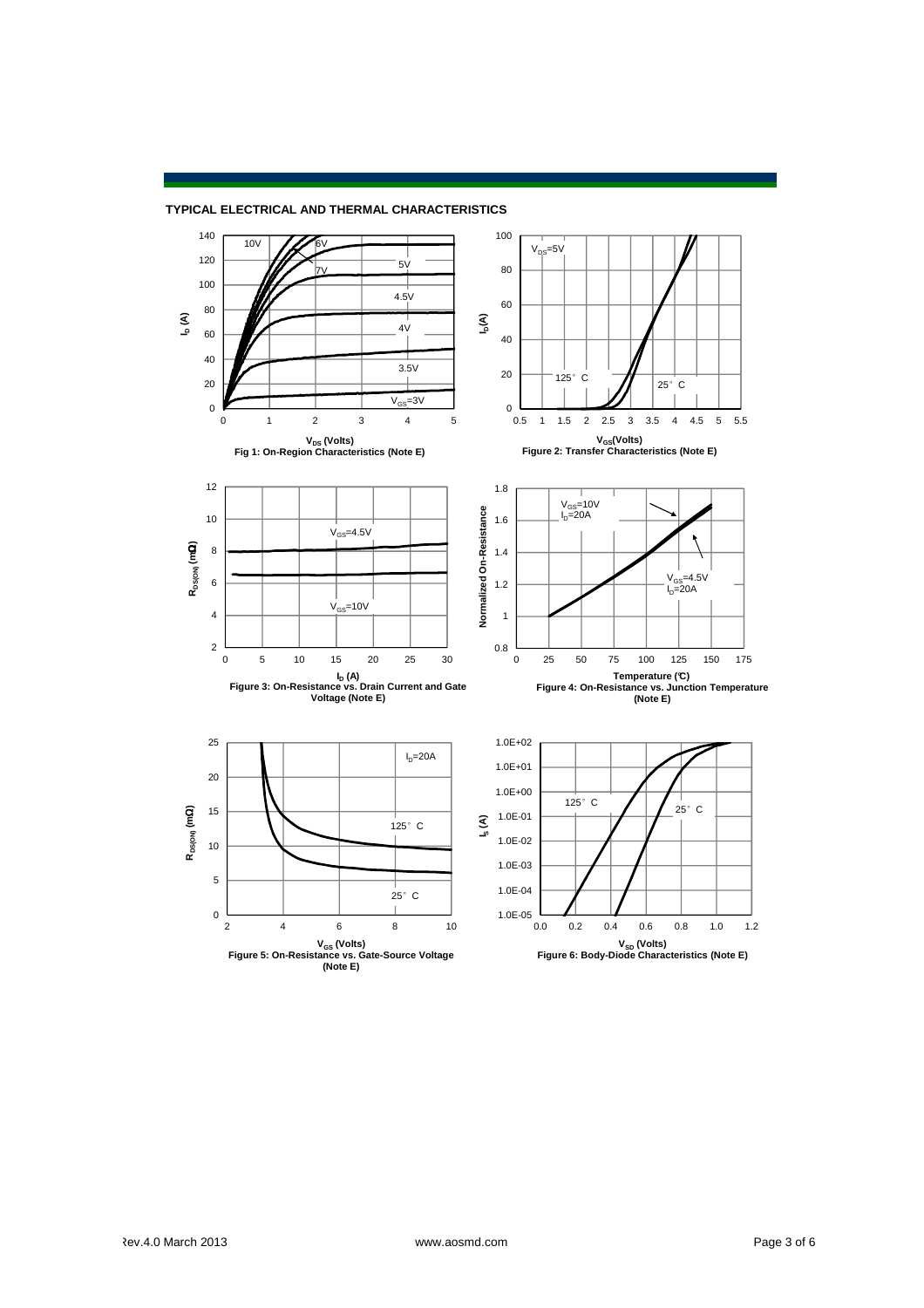

### **TYPICAL ELECTRICAL AND THERMAL CHARACTERISTICS**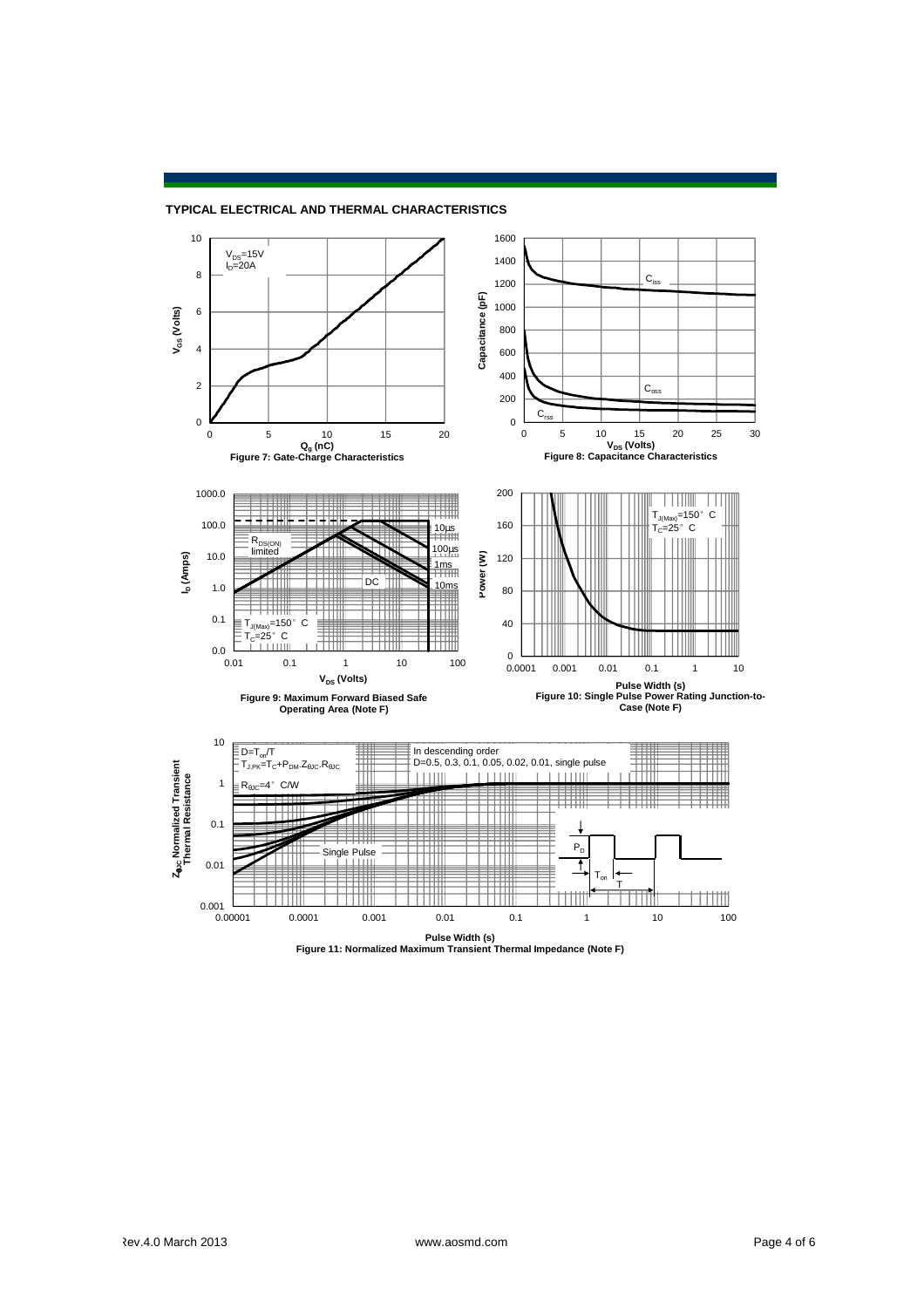

#### **TYPICAL ELECTRICAL AND THERMAL CHARACTERISTICS**

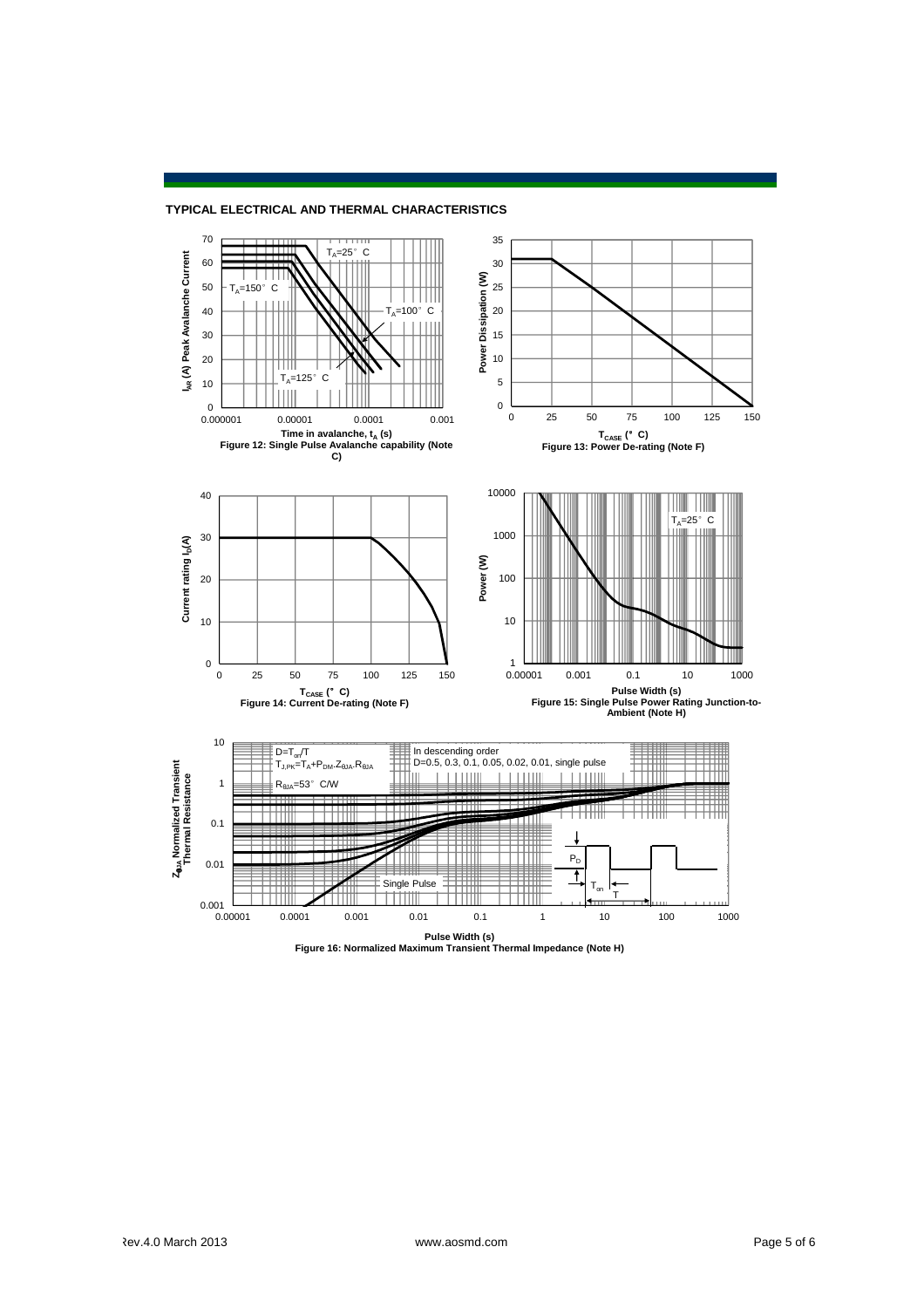



**Pulse Width (s) Figure 16: Normalized Maximum Transient Thermal Impedance (Note H)**